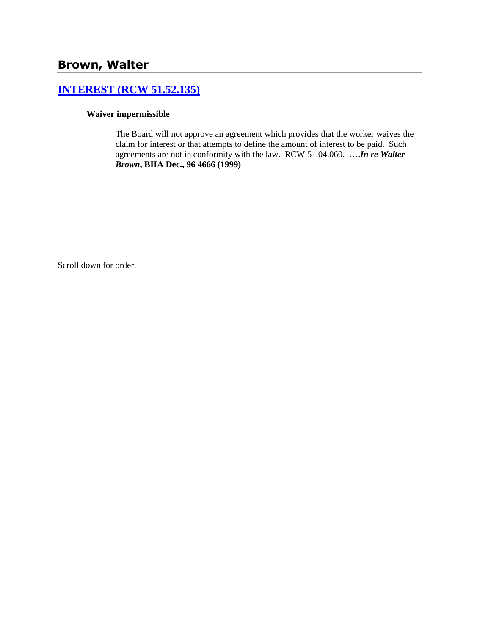# **[INTEREST \(RCW 51.52.135\)](http://www.biia.wa.gov/SDSubjectIndex.html#INTEREST)**

# **Waiver impermissible**

The Board will not approve an agreement which provides that the worker waives the claim for interest or that attempts to define the amount of interest to be paid. Such agreements are not in conformity with the law. RCW 51.04.060. **….***In re Walter Brown***, BIIA Dec., 96 4666 (1999)** 

Scroll down for order.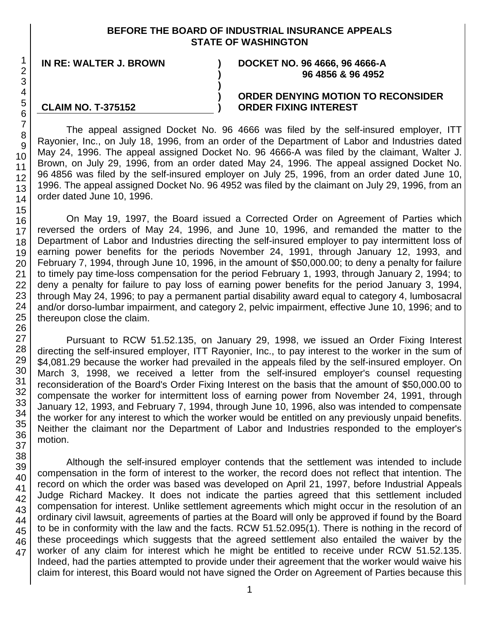# **BEFORE THE BOARD OF INDUSTRIAL INSURANCE APPEALS STATE OF WASHINGTON**

**) ) )**

#### **IN RE: WALTER J. BROWN ) DOCKET NO. 96 4666, 96 4666-A ) 96 4856 & 96 4952**

### **CLAIM NO. T-375152**

### **ORDER DENYING MOTION TO RECONSIDER ORDER FIXING INTEREST**

The appeal assigned Docket No. 96 4666 was filed by the self-insured employer, ITT Rayonier, Inc., on July 18, 1996, from an order of the Department of Labor and Industries dated May 24, 1996. The appeal assigned Docket No. 96 4666-A was filed by the claimant, Walter J. Brown, on July 29, 1996, from an order dated May 24, 1996. The appeal assigned Docket No. 96 4856 was filed by the self-insured employer on July 25, 1996, from an order dated June 10, 1996. The appeal assigned Docket No. 96 4952 was filed by the claimant on July 29, 1996, from an order dated June 10, 1996.

On May 19, 1997, the Board issued a Corrected Order on Agreement of Parties which reversed the orders of May 24, 1996, and June 10, 1996, and remanded the matter to the Department of Labor and Industries directing the self-insured employer to pay intermittent loss of earning power benefits for the periods November 24, 1991, through January 12, 1993, and February 7, 1994, through June 10, 1996, in the amount of \$50,000.00; to deny a penalty for failure to timely pay time-loss compensation for the period February 1, 1993, through January 2, 1994; to deny a penalty for failure to pay loss of earning power benefits for the period January 3, 1994, through May 24, 1996; to pay a permanent partial disability award equal to category 4, lumbosacral and/or dorso-lumbar impairment, and category 2, pelvic impairment, effective June 10, 1996; and to thereupon close the claim.

Pursuant to RCW 51.52.135, on January 29, 1998, we issued an Order Fixing Interest directing the self-insured employer, ITT Rayonier, Inc., to pay interest to the worker in the sum of \$4,081.29 because the worker had prevailed in the appeals filed by the self-insured employer. On March 3, 1998, we received a letter from the self-insured employer's counsel requesting reconsideration of the Board's Order Fixing Interest on the basis that the amount of \$50,000.00 to compensate the worker for intermittent loss of earning power from November 24, 1991, through January 12, 1993, and February 7, 1994, through June 10, 1996, also was intended to compensate the worker for any interest to which the worker would be entitled on any previously unpaid benefits. Neither the claimant nor the Department of Labor and Industries responded to the employer's motion.

Although the self-insured employer contends that the settlement was intended to include compensation in the form of interest to the worker, the record does not reflect that intention. The record on which the order was based was developed on April 21, 1997, before Industrial Appeals Judge Richard Mackey. It does not indicate the parties agreed that this settlement included compensation for interest. Unlike settlement agreements which might occur in the resolution of an ordinary civil lawsuit, agreements of parties at the Board will only be approved if found by the Board to be in conformity with the law and the facts. RCW 51.52.095(1). There is nothing in the record of these proceedings which suggests that the agreed settlement also entailed the waiver by the worker of any claim for interest which he might be entitled to receive under RCW 51.52.135. Indeed, had the parties attempted to provide under their agreement that the worker would waive his claim for interest, this Board would not have signed the Order on Agreement of Parties because this